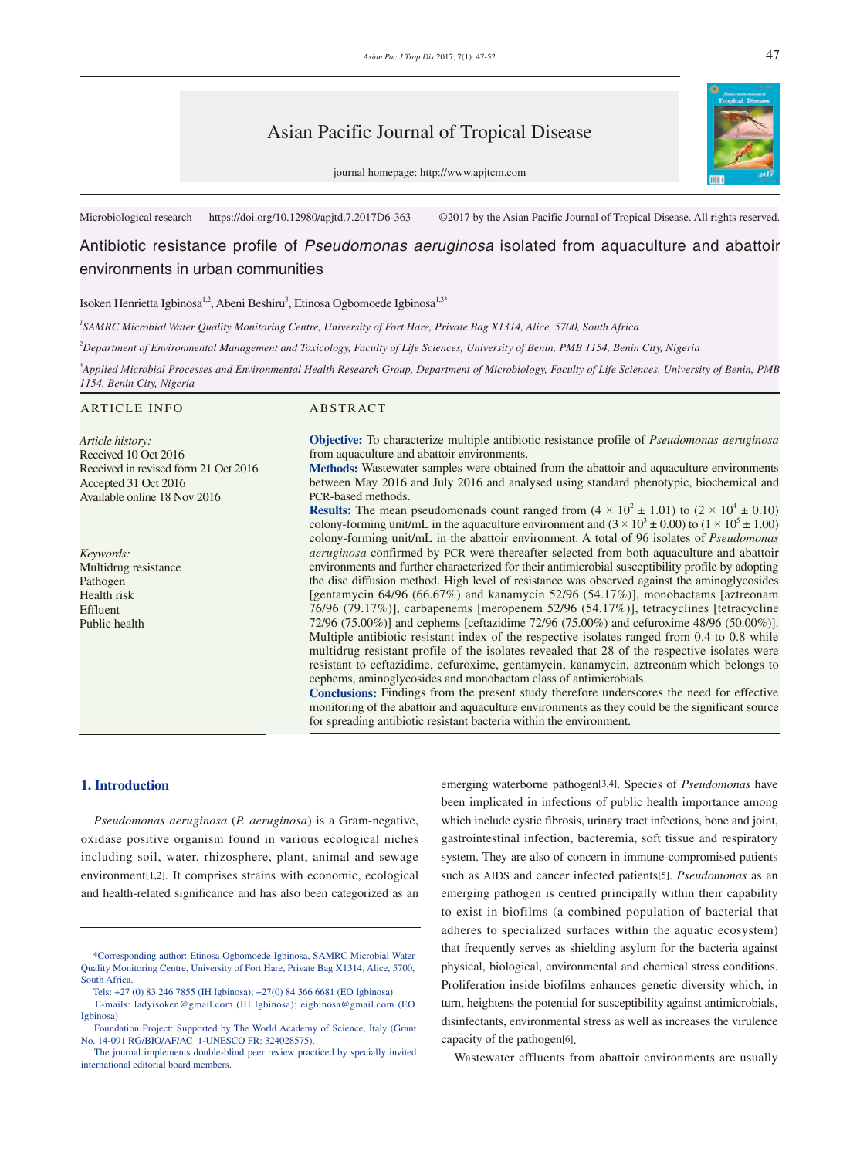# Asian Pacific Journal of Tropical Disease



journal homepage: http://www.apjtcm.com

Microbiological research https://doi.org/10.12980/apjtd.7.2017D6-363 ©2017 by the Asian Pacific Journal of Tropical Disease. All rights reserved.

# Antibiotic resistance profile of *Pseudomonas aeruginosa* isolated from aquaculture and abattoir environments in urban communities

Isoken Henrietta Igbinosa<sup>1,2</sup>, Abeni Beshiru<sup>3</sup>, Etinosa Ogbomoede Igbinosa<sup>1,3\*</sup>

*1 SAMRC Microbial Water Quality Monitoring Centre, University of Fort Hare, Private Bag X1314, Alice, 5700, South Africa*

*2 Department of Environmental Management and Toxicology, Faculty of Life Sciences, University of Benin, PMB 1154, Benin City, Nigeria*

*3 Applied Microbial Processes and Environmental Health Research Group, Department of Microbiology, Faculty of Life Sciences, University of Benin, PMB 1154, Benin City, Nigeria*

#### ARTICLE INFO ABSTRACT **Objective:** To characterize multiple antibiotic resistance profile of *Pseudomonas aeruginosa* from aquaculture and abattoir environments. **Methods:** Wastewater samples were obtained from the abattoir and aquaculture environments between May 2016 and July 2016 and analysed using standard phenotypic, biochemical and PCR-based methods. **Results:** The mean pseudomonads count ranged from  $(4 \times 10^2 \pm 1.01)$  to  $(2 \times 10^4 \pm 0.10)$ *Article history:* Received 10 Oct 2016 Received in revised form 21 Oct 2016 Accepted 31 Oct 2016 Available online 18 Nov 2016 *Keywords:*

Multidrug resistance Pathogen Health risk Effluent Public health

colony-forming unit/mL in the aquaculture environment and  $(3 \times 10^3 \pm 0.00)$  to  $(1 \times 10^5 \pm 1.00)$ colony-forming unit/mL in the abattoir environment. A total of 96 isolates of *Pseudomonas aeruginosa* confirmed by PCR were thereafter selected from both aquaculture and abattoir environments and further characterized for their antimicrobial susceptibility profile by adopting the disc diffusion method. High level of resistance was observed against the aminoglycosides [gentamycin 64/96 (66.67%) and kanamycin 52/96 (54.17%)], monobactams [aztreonam 76/96 (79.17%)], carbapenems [meropenem 52/96 (54.17%)], tetracyclines [tetracycline 72/96 (75.00%)] and cephems [ceftazidime 72/96 (75.00%) and cefuroxime 48/96 (50.00%)]. Multiple antibiotic resistant index of the respective isolates ranged from 0.4 to 0.8 while multidrug resistant profile of the isolates revealed that 28 of the respective isolates were resistant to ceftazidime, cefuroxime, gentamycin, kanamycin, aztreonam which belongs to cephems, aminoglycosides and monobactam class of antimicrobials.

**Conclusions:** Findings from the present study therefore underscores the need for effective monitoring of the abattoir and aquaculture environments as they could be the significant source for spreading antibiotic resistant bacteria within the environment.

## **1. Introduction**

 *Pseudomonas aeruginosa* (*P. aeruginosa*) is a Gram-negative, oxidase positive organism found in various ecological niches including soil, water, rhizosphere, plant, animal and sewage environment[1,2]. It comprises strains with economic, ecological and health-related significance and has also been categorized as an emerging waterborne pathogen[3,4]. Species of *Pseudomonas* have been implicated in infections of public health importance among which include cystic fibrosis, urinary tract infections, bone and joint, gastrointestinal infection, bacteremia, soft tissue and respiratory system. They are also of concern in immune-compromised patients such as AIDS and cancer infected patients[5]. *Pseudomonas* as an emerging pathogen is centred principally within their capability to exist in biofilms (a combined population of bacterial that adheres to specialized surfaces within the aquatic ecosystem) that frequently serves as shielding asylum for the bacteria against physical, biological, environmental and chemical stress conditions. Proliferation inside biofilms enhances genetic diversity which, in turn, heightens the potential for susceptibility against antimicrobials, disinfectants, environmental stress as well as increases the virulence capacity of the pathogen[6].

Wastewater effluents from abattoir environments are usually

 <sup>\*</sup>Corresponding author: Etinosa Ogbomoede Igbinosa, SAMRC Microbial Water Quality Monitoring Centre, University of Fort Hare, Private Bag X1314, Alice, 5700, South Africa.

Tels: +27 (0) 83 246 7855 (IH Igbinosa); +27(0) 84 366 6681 (EO Igbinosa) E-mails: ladyisoken@gmail.com (IH Igbinosa); eigbinosa@gmail.com (EO Igbinosa)

Foundation Project: Supported by The World Academy of Science, Italy (Grant No. 14-091 RG/BIO/AF/AC\_1-UNESCO FR: 324028575).

The journal implements double-blind peer review practiced by specially invited international editorial board members.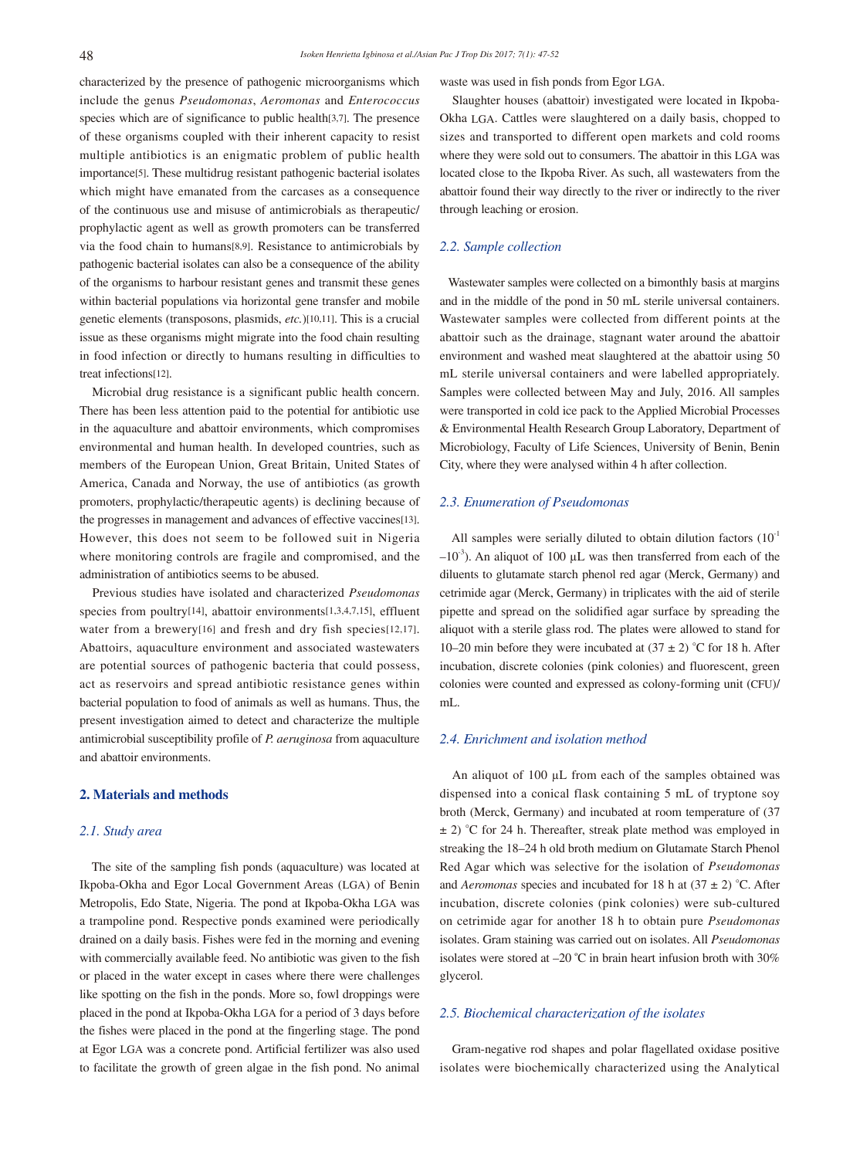characterized by the presence of pathogenic microorganisms which include the genus *Pseudomonas*, *Aeromonas* and *Enterococcus* species which are of significance to public health[3,7]. The presence of these organisms coupled with their inherent capacity to resist multiple antibiotics is an enigmatic problem of public health importance[5]. These multidrug resistant pathogenic bacterial isolates which might have emanated from the carcases as a consequence of the continuous use and misuse of antimicrobials as therapeutic/ prophylactic agent as well as growth promoters can be transferred via the food chain to humans[8,9]. Resistance to antimicrobials by pathogenic bacterial isolates can also be a consequence of the ability of the organisms to harbour resistant genes and transmit these genes within bacterial populations via horizontal gene transfer and mobile genetic elements (transposons, plasmids, *etc.*)[10,11]. This is a crucial issue as these organisms might migrate into the food chain resulting in food infection or directly to humans resulting in difficulties to treat infections[12].

 Microbial drug resistance is a significant public health concern. There has been less attention paid to the potential for antibiotic use in the aquaculture and abattoir environments, which compromises environmental and human health. In developed countries, such as members of the European Union, Great Britain, United States of America, Canada and Norway, the use of antibiotics (as growth promoters, prophylactic/therapeutic agents) is declining because of the progresses in management and advances of effective vaccines[13]. However, this does not seem to be followed suit in Nigeria where monitoring controls are fragile and compromised, and the administration of antibiotics seems to be abused.

 Previous studies have isolated and characterized *Pseudomonas* species from poultry[14], abattoir environments[1,3,4,7,15], effluent water from a brewery[16] and fresh and dry fish species[12,17]. Abattoirs, aquaculture environment and associated wastewaters are potential sources of pathogenic bacteria that could possess, act as reservoirs and spread antibiotic resistance genes within bacterial population to food of animals as well as humans. Thus, the present investigation aimed to detect and characterize the multiple antimicrobial susceptibility profile of *P. aeruginosa* from aquaculture and abattoir environments.

## **2. Materials and methods**

#### *2.1. Study area*

 The site of the sampling fish ponds (aquaculture) was located at Ikpoba-Okha and Egor Local Government Areas (LGA) of Benin Metropolis, Edo State, Nigeria. The pond at Ikpoba-Okha LGA was a trampoline pond. Respective ponds examined were periodically drained on a daily basis. Fishes were fed in the morning and evening with commercially available feed. No antibiotic was given to the fish or placed in the water except in cases where there were challenges like spotting on the fish in the ponds. More so, fowl droppings were placed in the pond at Ikpoba-Okha LGA for a period of 3 days before the fishes were placed in the pond at the fingerling stage. The pond at Egor LGA was a concrete pond. Artificial fertilizer was also used to facilitate the growth of green algae in the fish pond. No animal waste was used in fish ponds from Egor LGA.

 Slaughter houses (abattoir) investigated were located in Ikpoba-Okha LGA. Cattles were slaughtered on a daily basis, chopped to sizes and transported to different open markets and cold rooms where they were sold out to consumers. The abattoir in this LGA was located close to the Ikpoba River. As such, all wastewaters from the abattoir found their way directly to the river or indirectly to the river through leaching or erosion.

### *2.2. Sample collection*

 Wastewater samples were collected on a bimonthly basis at margins and in the middle of the pond in 50 mL sterile universal containers. Wastewater samples were collected from different points at the abattoir such as the drainage, stagnant water around the abattoir environment and washed meat slaughtered at the abattoir using 50 mL sterile universal containers and were labelled appropriately. Samples were collected between May and July, 2016. All samples were transported in cold ice pack to the Applied Microbial Processes & Environmental Health Research Group Laboratory, Department of Microbiology, Faculty of Life Sciences, University of Benin, Benin City, where they were analysed within 4 h after collection.

#### *2.3. Enumeration of Pseudomonas*

All samples were serially diluted to obtain dilution factors  $(10^{-1})$  $-10<sup>3</sup>$ ). An aliquot of 100  $\mu$ L was then transferred from each of the diluents to glutamate starch phenol red agar (Merck, Germany) and cetrimide agar (Merck, Germany) in triplicates with the aid of sterile pipette and spread on the solidified agar surface by spreading the aliquot with a sterile glass rod. The plates were allowed to stand for 10–20 min before they were incubated at  $(37 \pm 2)$  °C for 18 h. After incubation, discrete colonies (pink colonies) and fluorescent, green colonies were counted and expressed as colony-forming unit (CFU)/ mL.

#### *2.4. Enrichment and isolation method*

An aliquot of 100 µL from each of the samples obtained was dispensed into a conical flask containing 5 mL of tryptone soy broth (Merck, Germany) and incubated at room temperature of (37  $\pm$  2) °C for 24 h. Thereafter, streak plate method was employed in streaking the 18–24 h old broth medium on Glutamate Starch Phenol Red Agar which was selective for the isolation of *Pseudomonas* and *Aeromonas* species and incubated for 18 h at  $(37 \pm 2)$  °C. After incubation, discrete colonies (pink colonies) were sub-cultured on cetrimide agar for another 18 h to obtain pure *Pseudomonas* isolates. Gram staining was carried out on isolates. All *Pseudomonas* isolates were stored at –20 ºC in brain heart infusion broth with 30% glycerol.

## *2.5. Biochemical characterization of the isolates*

 Gram-negative rod shapes and polar flagellated oxidase positive isolates were biochemically characterized using the Analytical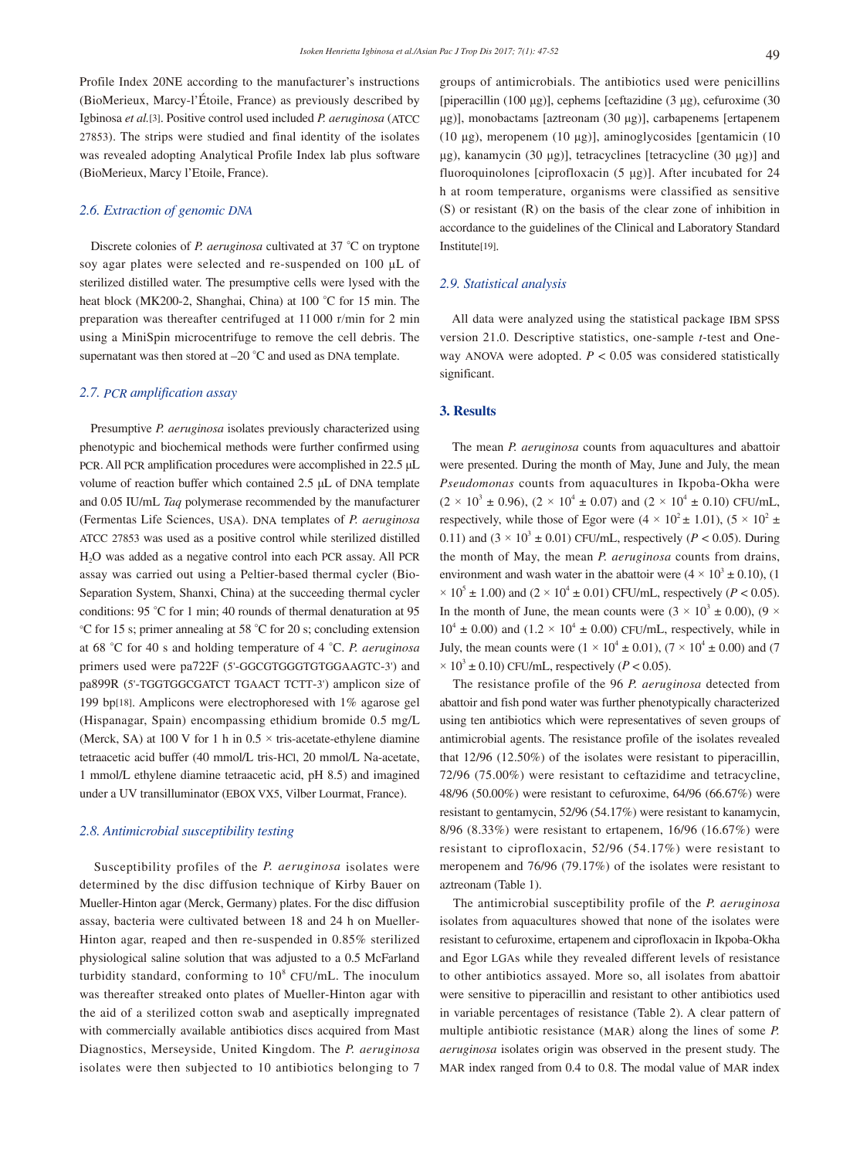Profile Index 20NE according to the manufacturer's instructions (BioMerieux, Marcy-l'Étoile, France) as previously described by Igbinosa *et al.*[3]. Positive control used included *P. aeruginosa* (ATCC 27853). The strips were studied and final identity of the isolates was revealed adopting Analytical Profile Index lab plus software (BioMerieux, Marcy l'Etoile, France).

## *2.6. Extraction of genomic DNA*

 Discrete colonies of *P. aeruginosa* cultivated at 37 °C on tryptone soy agar plates were selected and re-suspended on 100 µL of sterilized distilled water. The presumptive cells were lysed with the heat block (MK200-2, Shanghai, China) at 100 °C for 15 min. The preparation was thereafter centrifuged at 11 000 r/min for 2 min using a MiniSpin microcentrifuge to remove the cell debris. The supernatant was then stored at –20 °C and used as DNA template.

## *2.7. PCR amplification assay*

 Presumptive *P. aeruginosa* isolates previously characterized using phenotypic and biochemical methods were further confirmed using PCR. All PCR amplification procedures were accomplished in 22.5 μL volume of reaction buffer which contained 2.5 μL of DNA template and 0.05 IU/mL *Taq* polymerase recommended by the manufacturer (Fermentas Life Sciences, USA). DNA templates of *P. aeruginosa* ATCC 27853 was used as a positive control while sterilized distilled H2O was added as a negative control into each PCR assay. All PCR assay was carried out using a Peltier-based thermal cycler (Bio-Separation System, Shanxi, China) at the succeeding thermal cycler conditions: 95 °C for 1 min; 40 rounds of thermal denaturation at 95 °C for 15 s; primer annealing at 58 °C for 20 s; concluding extension at 68 °C for 40 s and holding temperature of 4 °C. *P. aeruginosa* primers used were pa722F (5'-GGCGTGGGTGTGGAAGTC-3') and pa899R (5'-TGGTGGCGATCT TGAACT TCTT-3') amplicon size of 199 bp[18]. Amplicons were electrophoresed with 1% agarose gel (Hispanagar, Spain) encompassing ethidium bromide 0.5 mg/L (Merck, SA) at 100 V for 1 h in  $0.5 \times$  tris-acetate-ethylene diamine tetraacetic acid buffer (40 mmol/L tris-HCl, 20 mmol/L Na-acetate, 1 mmol/L ethylene diamine tetraacetic acid, pH 8.5) and imagined under a UV transilluminator (EBOX VX5, Vilber Lourmat, France).

#### *2.8. Antimicrobial susceptibility testing*

 Susceptibility profiles of the *P. aeruginosa* isolates were determined by the disc diffusion technique of Kirby Bauer on Mueller-Hinton agar (Merck, Germany) plates. For the disc diffusion assay, bacteria were cultivated between 18 and 24 h on Mueller-Hinton agar, reaped and then re-suspended in 0.85% sterilized physiological saline solution that was adjusted to a 0.5 McFarland turbidity standard, conforming to  $10^8$  CFU/mL. The inoculum was thereafter streaked onto plates of Mueller-Hinton agar with the aid of a sterilized cotton swab and aseptically impregnated with commercially available antibiotics discs acquired from Mast Diagnostics, Merseyside, United Kingdom. The *P. aeruginosa* isolates were then subjected to 10 antibiotics belonging to 7

groups of antimicrobials. The antibiotics used were penicillins [piperacillin (100 μg)], cephems [ceftazidine (3 μg), cefuroxime (30 μg)], monobactams [aztreonam (30 μg)], carbapenems [ertapenem (10 μg), meropenem (10 μg)], aminoglycosides [gentamicin (10 μg), kanamycin (30 μg)], tetracyclines [tetracycline (30 μg)] and fluoroquinolones [ciprofloxacin (5 μg)]. After incubated for 24 h at room temperature, organisms were classified as sensitive (S) or resistant (R) on the basis of the clear zone of inhibition in accordance to the guidelines of the Clinical and Laboratory Standard Institute[19].

## *2.9. Statistical analysis*

 All data were analyzed using the statistical package IBM SPSS version 21.0. Descriptive statistics, one-sample *t*-test and Oneway ANOVA were adopted. *P* < 0.05 was considered statistically significant.

### **3. Results**

 The mean *P. aeruginosa* counts from aquacultures and abattoir were presented. During the month of May, June and July, the mean *Pseudomonas* counts from aquacultures in Ikpoba-Okha were  $(2 \times 10^3 \pm 0.96)$ ,  $(2 \times 10^4 \pm 0.07)$  and  $(2 \times 10^4 \pm 0.10)$  CFU/mL, respectively, while those of Egor were  $(4 \times 10^2 \pm 1.01)$ ,  $(5 \times 10^2 \pm 1.01)$ 0.11) and  $(3 \times 10^3 \pm 0.01)$  CFU/mL, respectively ( $P < 0.05$ ). During the month of May, the mean *P. aeruginosa* counts from drains, environment and wash water in the abattoir were  $(4 \times 10^3 \pm 0.10)$ , (1)  $\times$  10<sup>5</sup> ± 1.00) and (2  $\times$  10<sup>4</sup> ± 0.01) CFU/mL, respectively (*P* < 0.05). In the month of June, the mean counts were  $(3 \times 10^3 \pm 0.00)$ ,  $(9 \times$  $10^4 \pm 0.00$ ) and  $(1.2 \times 10^4 \pm 0.00)$  CFU/mL, respectively, while in July, the mean counts were  $(1 \times 10^4 \pm 0.01)$ ,  $(7 \times 10^4 \pm 0.00)$  and  $(7 \pm 0.00)$  $\times$  10<sup>3</sup> ± 0.10) CFU/mL, respectively (*P* < 0.05).

 The resistance profile of the 96 *P. aeruginosa* detected from abattoir and fish pond water was further phenotypically characterized using ten antibiotics which were representatives of seven groups of antimicrobial agents. The resistance profile of the isolates revealed that 12/96 (12.50%) of the isolates were resistant to piperacillin, 72/96 (75.00%) were resistant to ceftazidime and tetracycline, 48/96 (50.00%) were resistant to cefuroxime, 64/96 (66.67%) were resistant to gentamycin, 52/96 (54.17%) were resistant to kanamycin, 8/96 (8.33%) were resistant to ertapenem, 16/96 (16.67%) were resistant to ciprofloxacin, 52/96 (54.17%) were resistant to meropenem and 76/96 (79.17%) of the isolates were resistant to aztreonam (Table 1).

 The antimicrobial susceptibility profile of the *P. aeruginosa* isolates from aquacultures showed that none of the isolates were resistant to cefuroxime, ertapenem and ciprofloxacin in Ikpoba-Okha and Egor LGAs while they revealed different levels of resistance to other antibiotics assayed. More so, all isolates from abattoir were sensitive to piperacillin and resistant to other antibiotics used in variable percentages of resistance (Table 2). A clear pattern of multiple antibiotic resistance (MAR) along the lines of some *P. aeruginosa* isolates origin was observed in the present study. The MAR index ranged from 0.4 to 0.8. The modal value of MAR index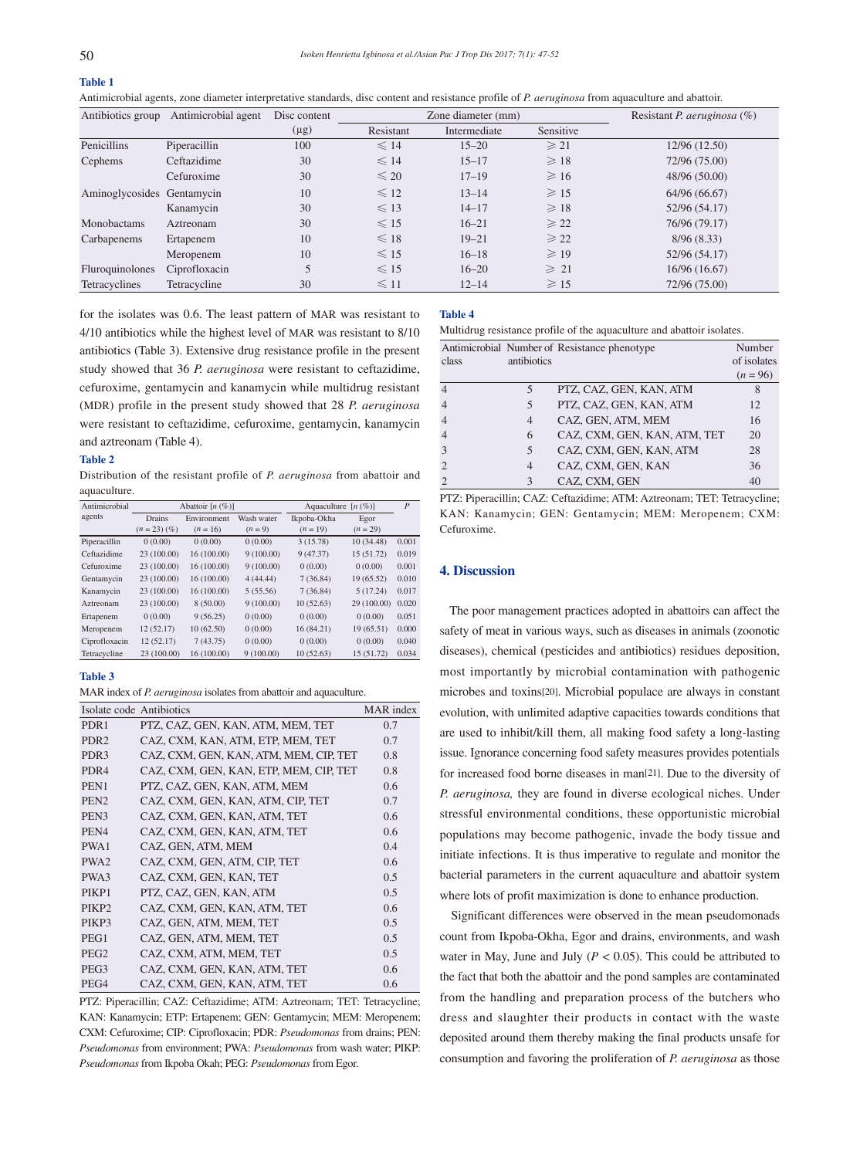# **Table 1**

Antimicrobial agents, zone diameter interpretative standards, disc content and resistance profile of *P. aeruginosa* from aquaculture and abattoir.

| Antibiotics group          | Antimicrobial agent | Disc content | Zone diameter (mm) |              | Resistant <i>P. aeruginosa</i> $(\%)$ |               |
|----------------------------|---------------------|--------------|--------------------|--------------|---------------------------------------|---------------|
|                            |                     | $(\mu g)$    | Resistant          | Intermediate | Sensitive                             |               |
| Penicillins                | Piperacillin        | 100          | $\leq 14$          | $15 - 20$    | $\geqslant$ 21                        | 12/96(12.50)  |
| Cephems                    | Ceftazidime         | 30           | $\leq 14$          | $15 - 17$    | $\geqslant$ 18                        | 72/96 (75.00) |
|                            | Cefuroxime          | 30           | $\leq 20$          | $17 - 19$    | $\geqslant$ 16                        | 48/96 (50.00) |
| Aminoglycosides Gentamycin |                     | 10           | $\leq 12$          | $13 - 14$    | $\geqslant$ 15                        | 64/96 (66.67) |
|                            | Kanamycin           | 30           | $\leq 13$          | $14 - 17$    | $\geqslant$ 18                        | 52/96 (54.17) |
| Monobactams                | Aztreonam           | 30           | $\leq 15$          | $16 - 21$    | $\geqslant$ 22                        | 76/96 (79.17) |
| Carbapenems                | Ertapenem           | 10           | $\leq 18$          | $19 - 21$    | $\geqslant$ 22                        | 8/96(8.33)    |
|                            | Meropenem           | 10           | $\leq 15$          | $16 - 18$    | $\geqslant$ 19                        | 52/96 (54.17) |
| Fluroquinolones            | Ciprofloxacin       | 5            | $\leq 15$          | $16 - 20$    | $\geq 21$                             | 16/96(16.67)  |
| Tetracyclines              | Tetracycline        | 30           | $\leq 11$          | $12 - 14$    | $\geqslant$ 15                        | 72/96 (75.00) |

for the isolates was 0.6. The least pattern of MAR was resistant to 4/10 antibiotics while the highest level of MAR was resistant to 8/10 antibiotics (Table 3). Extensive drug resistance profile in the present study showed that 36 *P. aeruginosa* were resistant to ceftazidime, cefuroxime, gentamycin and kanamycin while multidrug resistant (MDR) profile in the present study showed that 28 *P. aeruginosa* were resistant to ceftazidime, cefuroxime, gentamycin, kanamycin and aztreonam (Table 4).

#### **Table 2**

Distribution of the resistant profile of *P. aeruginosa* from abattoir and aquaculture.

| Antimicrobial | Abattoir $[n (\%)]$ |             |            | Aquaculture<br>$[n(\%)]$ |             | $\overline{P}$ |
|---------------|---------------------|-------------|------------|--------------------------|-------------|----------------|
| agents        | Drains              | Environment | Wash water | Ikpoba-Okha              | Egor        |                |
|               | $(n = 23)$ $(\%)$   | $(n = 16)$  | $(n = 9)$  | $(n = 19)$               | $(n = 29)$  |                |
| Piperacillin  | 0(0.00)             | 0(0.00)     | 0(0.00)    | 3(15.78)                 | 10(34.48)   | 0.001          |
| Ceftazidime   | 23 (100.00)         | 16(100.00)  | 9(100.00)  | 9(47.37)                 | 15 (51.72)  | 0.019          |
| Cefuroxime    | 23 (100.00)         | 16(100.00)  | 9(100.00)  | 0(0.00)                  | 0(0.00)     | 0.001          |
| Gentamycin    | 23 (100.00)         | 16(100.00)  | 4(44.44)   | 7(36.84)                 | 19 (65.52)  | 0.010          |
| Kanamycin     | 23 (100.00)         | 16(100.00)  | 5(55.56)   | 7(36.84)                 | 5(17.24)    | 0.017          |
| Aztreonam     | 23 (100.00)         | 8(50.00)    | 9(100.00)  | 10(52.63)                | 29 (100.00) | 0.020          |
| Ertapenem     | 0(0.00)             | 9(56.25)    | 0(0.00)    | 0(0.00)                  | 0(0.00)     | 0.051          |
| Meropenem     | 12(52.17)           | 10(62.50)   | 0(0.00)    | 16 (84.21)               | 19 (65.51)  | 0.000          |
| Ciprofloxacin | 12(52.17)           | 7(43.75)    | 0(0.00)    | 0(0.00)                  | 0(0.00)     | 0.040          |
| Tetracycline  | 23 (100.00)         | 16 (100.00) | 9(100.00)  | 10(52.63)                | 15 (51.72)  | 0.034          |

#### **Table 3**

MAR index of *P. aeruginosa* isolates from abattoir and aquaculture.

| Isolate code Antibiotics |                                        | MAR index |
|--------------------------|----------------------------------------|-----------|
| PDR1                     | PTZ, CAZ, GEN, KAN, ATM, MEM, TET      | 0.7       |
| PDR <sub>2</sub>         | CAZ, CXM, KAN, ATM, ETP, MEM, TET      | 0.7       |
| PDR <sub>3</sub>         | CAZ, CXM, GEN, KAN, ATM, MEM, CIP, TET | 0.8       |
| PDR <sub>4</sub>         | CAZ, CXM, GEN, KAN, ETP, MEM, CIP, TET | 0.8       |
| PEN1                     | PTZ, CAZ, GEN, KAN, ATM, MEM           | 0.6       |
| PEN <sub>2</sub>         | CAZ, CXM, GEN, KAN, ATM, CIP, TET      | 0.7       |
| PEN <sub>3</sub>         | CAZ, CXM, GEN, KAN, ATM, TET           | 0.6       |
| PEN <sub>4</sub>         | CAZ, CXM, GEN, KAN, ATM, TET           | 0.6       |
| PWA1                     | CAZ, GEN, ATM, MEM                     | 0.4       |
| PWA <sub>2</sub>         | CAZ, CXM, GEN, ATM, CIP, TET           | 0.6       |
| PWA3                     | CAZ, CXM, GEN, KAN, TET                | 0.5       |
| PIKP1                    | PTZ, CAZ, GEN, KAN, ATM                | 0.5       |
| PIKP <sub>2</sub>        | CAZ, CXM, GEN, KAN, ATM, TET           | 0.6       |
| PIKP3                    | CAZ, GEN, ATM, MEM, TET                | 0.5       |
| PEG1                     | CAZ, GEN, ATM, MEM, TET                | 0.5       |
| PEG <sub>2</sub>         | CAZ, CXM, ATM, MEM, TET                | 0.5       |
| PEG <sub>3</sub>         | CAZ, CXM, GEN, KAN, ATM, TET           | 0.6       |
| PEG4                     | CAZ, CXM, GEN, KAN, ATM, TET           | 0.6       |

PTZ: Piperacillin; CAZ: Ceftazidime; ATM: Aztreonam; TET: Tetracycline; KAN: Kanamycin; ETP: Ertapenem; GEN: Gentamycin; MEM: Meropenem; CXM: Cefuroxime; CIP: Ciprofloxacin; PDR: *Pseudomonas* from drains; PEN: *Pseudomonas* from environment; PWA: *Pseudomonas* from wash water; PIKP: *Pseudomonas* from Ikpoba Okah; PEG: *Pseudomonas* from Egor.

## **Table 4**

Multidrug resistance profile of the aquaculture and abattoir isolates.

|                |                | Antimicrobial Number of Resistance phenotype | Number      |
|----------------|----------------|----------------------------------------------|-------------|
| class          | antibiotics    |                                              | of isolates |
|                |                |                                              | $(n = 96)$  |
| 4              | 5              | PTZ, CAZ, GEN, KAN, ATM                      | 8           |
| $\overline{4}$ | 5              | PTZ, CAZ, GEN, KAN, ATM                      | 12          |
| $\overline{4}$ | $\overline{4}$ | CAZ, GEN, ATM, MEM                           | 16          |
| $\overline{4}$ | 6              | CAZ, CXM, GEN, KAN, ATM, TET                 | 20          |
| 3              | 5              | CAZ, CXM, GEN, KAN, ATM                      | 28          |
| $\overline{2}$ | $\overline{4}$ | CAZ, CXM, GEN, KAN                           | 36          |
| $\overline{2}$ | $\mathcal{F}$  | CAZ. CXM. GEN                                | 40          |

PTZ: Piperacillin; CAZ: Ceftazidime; ATM: Aztreonam; TET: Tetracycline; KAN: Kanamycin; GEN: Gentamycin; MEM: Meropenem; CXM: Cefuroxime.

#### **4. Discussion**

 The poor management practices adopted in abattoirs can affect the safety of meat in various ways, such as diseases in animals (zoonotic diseases), chemical (pesticides and antibiotics) residues deposition, most importantly by microbial contamination with pathogenic microbes and toxins[20]. Microbial populace are always in constant evolution, with unlimited adaptive capacities towards conditions that are used to inhibit/kill them, all making food safety a long-lasting issue. Ignorance concerning food safety measures provides potentials for increased food borne diseases in man[21]. Due to the diversity of *P. aeruginosa,* they are found in diverse ecological niches. Under stressful environmental conditions, these opportunistic microbial populations may become pathogenic, invade the body tissue and initiate infections. It is thus imperative to regulate and monitor the bacterial parameters in the current aquaculture and abattoir system where lots of profit maximization is done to enhance production.

 Significant differences were observed in the mean pseudomonads count from Ikpoba-Okha, Egor and drains, environments, and wash water in May, June and July  $(P < 0.05)$ . This could be attributed to the fact that both the abattoir and the pond samples are contaminated from the handling and preparation process of the butchers who dress and slaughter their products in contact with the waste deposited around them thereby making the final products unsafe for consumption and favoring the proliferation of *P. aeruginosa* as those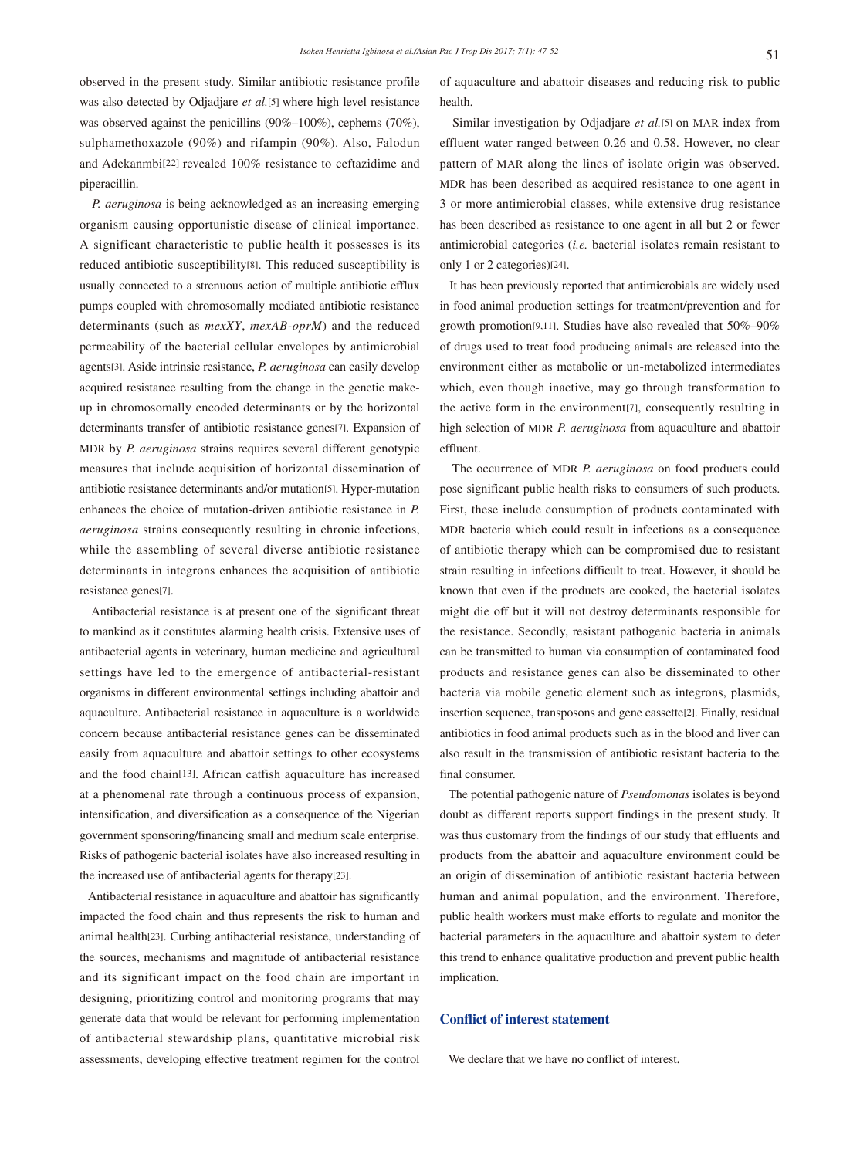observed in the present study. Similar antibiotic resistance profile was also detected by Odjadjare *et al.*[5] where high level resistance was observed against the penicillins (90%–100%), cephems (70%), sulphamethoxazole (90%) and rifampin (90%). Also, Falodun and Adekanmbi[22] revealed 100% resistance to ceftazidime and piperacillin.

 *P. aeruginosa* is being acknowledged as an increasing emerging organism causing opportunistic disease of clinical importance. A significant characteristic to public health it possesses is its reduced antibiotic susceptibility[8]. This reduced susceptibility is usually connected to a strenuous action of multiple antibiotic efflux pumps coupled with chromosomally mediated antibiotic resistance determinants (such as *mexXY*, *mexAB-oprM*) and the reduced permeability of the bacterial cellular envelopes by antimicrobial agents[3]. Aside intrinsic resistance, *P. aeruginosa* can easily develop acquired resistance resulting from the change in the genetic makeup in chromosomally encoded determinants or by the horizontal determinants transfer of antibiotic resistance genes[7]. Expansion of MDR by *P. aeruginosa* strains requires several different genotypic measures that include acquisition of horizontal dissemination of antibiotic resistance determinants and/or mutation[5]. Hyper-mutation enhances the choice of mutation-driven antibiotic resistance in *P. aeruginosa* strains consequently resulting in chronic infections, while the assembling of several diverse antibiotic resistance determinants in integrons enhances the acquisition of antibiotic resistance genes[7].

 Antibacterial resistance is at present one of the significant threat to mankind as it constitutes alarming health crisis. Extensive uses of antibacterial agents in veterinary, human medicine and agricultural settings have led to the emergence of antibacterial-resistant organisms in different environmental settings including abattoir and aquaculture. Antibacterial resistance in aquaculture is a worldwide concern because antibacterial resistance genes can be disseminated easily from aquaculture and abattoir settings to other ecosystems and the food chain[13]. African catfish aquaculture has increased at a phenomenal rate through a continuous process of expansion, intensification, and diversification as a consequence of the Nigerian government sponsoring/financing small and medium scale enterprise. Risks of pathogenic bacterial isolates have also increased resulting in the increased use of antibacterial agents for therapy[23].

 Antibacterial resistance in aquaculture and abattoir has significantly impacted the food chain and thus represents the risk to human and animal health[23]. Curbing antibacterial resistance, understanding of the sources, mechanisms and magnitude of antibacterial resistance and its significant impact on the food chain are important in designing, prioritizing control and monitoring programs that may generate data that would be relevant for performing implementation of antibacterial stewardship plans, quantitative microbial risk assessments, developing effective treatment regimen for the control of aquaculture and abattoir diseases and reducing risk to public health.

 Similar investigation by Odjadjare *et al.*[5] on MAR index from effluent water ranged between 0.26 and 0.58. However, no clear pattern of MAR along the lines of isolate origin was observed. MDR has been described as acquired resistance to one agent in 3 or more antimicrobial classes, while extensive drug resistance has been described as resistance to one agent in all but 2 or fewer antimicrobial categories (*i.e.* bacterial isolates remain resistant to only 1 or 2 categories)[24].

 It has been previously reported that antimicrobials are widely used in food animal production settings for treatment/prevention and for growth promotion[9,11]. Studies have also revealed that 50%–90% of drugs used to treat food producing animals are released into the environment either as metabolic or un-metabolized intermediates which, even though inactive, may go through transformation to the active form in the environment[7], consequently resulting in high selection of MDR *P. aeruginosa* from aquaculture and abattoir effluent.

 The occurrence of MDR *P. aeruginosa* on food products could pose significant public health risks to consumers of such products. First, these include consumption of products contaminated with MDR bacteria which could result in infections as a consequence of antibiotic therapy which can be compromised due to resistant strain resulting in infections difficult to treat. However, it should be known that even if the products are cooked, the bacterial isolates might die off but it will not destroy determinants responsible for the resistance. Secondly, resistant pathogenic bacteria in animals can be transmitted to human via consumption of contaminated food products and resistance genes can also be disseminated to other bacteria via mobile genetic element such as integrons, plasmids, insertion sequence, transposons and gene cassette[2]. Finally, residual antibiotics in food animal products such as in the blood and liver can also result in the transmission of antibiotic resistant bacteria to the final consumer.

 The potential pathogenic nature of *Pseudomonas* isolates is beyond doubt as different reports support findings in the present study. It was thus customary from the findings of our study that effluents and products from the abattoir and aquaculture environment could be an origin of dissemination of antibiotic resistant bacteria between human and animal population, and the environment. Therefore, public health workers must make efforts to regulate and monitor the bacterial parameters in the aquaculture and abattoir system to deter this trend to enhance qualitative production and prevent public health implication.

## **Conflict of interest statement**

We declare that we have no conflict of interest.